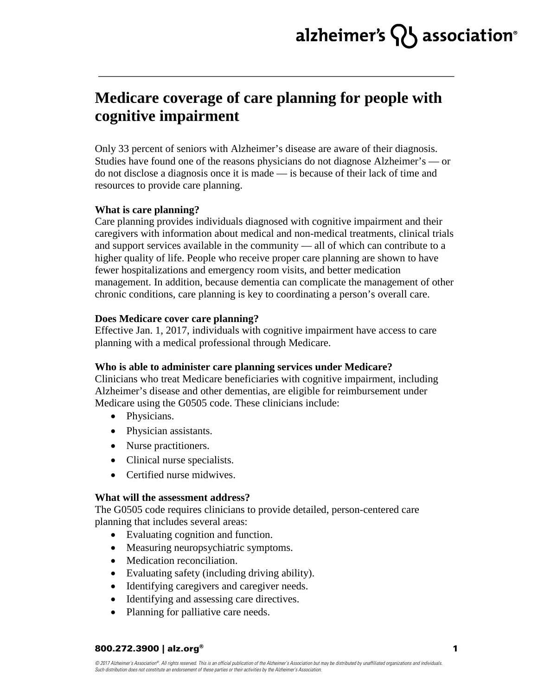# alzheimer's  $\{ \}$  association<sup>®</sup>

# **Medicare coverage of care planning for people with cognitive impairment**

Only 33 percent of seniors with Alzheimer's disease are aware of their diagnosis. Studies have found one of the reasons physicians do not diagnose Alzheimer's — or do not disclose a diagnosis once it is made — is because of their lack of time and resources to provide care planning.

## **What is care planning?**

Care planning provides individuals diagnosed with cognitive impairment and their caregivers with information about medical and non-medical treatments, clinical trials and support services available in the community — all of which can contribute to a higher quality of life. People who receive proper care planning are shown to have fewer hospitalizations and emergency room visits, and better medication management. In addition, because dementia can complicate the management of other chronic conditions, care planning is key to coordinating a person's overall care.

### **Does Medicare cover care planning?**

Effective Jan. 1, 2017, individuals with cognitive impairment have access to care planning with a medical professional through Medicare.

# **Who is able to administer care planning services under Medicare?**

Clinicians who treat Medicare beneficiaries with cognitive impairment, including Alzheimer's disease and other dementias, are eligible for reimbursement under Medicare using the G0505 code. These clinicians include:

- Physicians.
- Physician assistants.
- Nurse practitioners.
- Clinical nurse specialists.
- Certified nurse midwives.

### **What will the assessment address?**

The G0505 code requires clinicians to provide detailed, person-centered care planning that includes several areas:

- Evaluating cognition and function.
- Measuring neuropsychiatric symptoms.
- Medication reconciliation.
- Evaluating safety (including driving ability).
- Identifying caregivers and caregiver needs.
- Identifying and assessing care directives.
- Planning for palliative care needs.

### 800.272.3900 | alz.org®